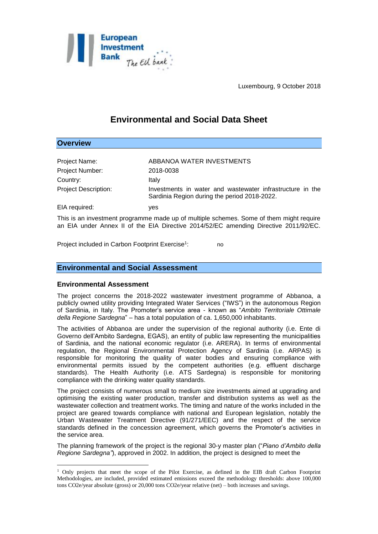

Luxembourg, 9 October 2018

# **Environmental and Social Data Sheet**

## **Overview**

1

| Project Name:               | ABBANOA WATER INVESTMENTS                                                                                 |
|-----------------------------|-----------------------------------------------------------------------------------------------------------|
| Project Number:             | 2018-0038                                                                                                 |
| Country:                    | Italv                                                                                                     |
| <b>Project Description:</b> | Investments in water and wastewater infrastructure in the<br>Sardinia Region during the period 2018-2022. |
| EIA required:               | ves                                                                                                       |

This is an investment programme made up of multiple schemes. Some of them might require an EIA under Annex II of the EIA Directive 2014/52/EC amending Directive 2011/92/EC.

Project included in Carbon Footprint Exercise<sup>1</sup>: : no

## **Environmental and Social Assessment**

## **Environmental Assessment**

The project concerns the 2018-2022 wastewater investment programme of Abbanoa, a publicly owned utility providing Integrated Water Services ("IWS") in the autonomous Region of Sardinia, in Italy. The Promoter's service area - known as "*Ambito Territoriale Ottimale della Regione Sardegna*" – has a total population of ca. 1,650,000 inhabitants.

The activities of Abbanoa are under the supervision of the regional authority (i.e. Ente di Governo dell'Ambito Sardegna, EGAS), an entity of public law representing the municipalities of Sardinia, and the national economic regulator (i.e. ARERA). In terms of environmental regulation, the Regional Environmental Protection Agency of Sardinia (i.e. ARPAS) is responsible for monitoring the quality of water bodies and ensuring compliance with environmental permits issued by the competent authorities (e.g. effluent discharge standards). The Health Authority (i.e. ATS Sardegna) is responsible for monitoring compliance with the drinking water quality standards.

The project consists of numerous small to medium size investments aimed at upgrading and optimising the existing water production, transfer and distribution systems as well as the wastewater collection and treatment works. The timing and nature of the works included in the project are geared towards compliance with national and European legislation, notably the Urban Wastewater Treatment Directive (91/271/EEC) and the respect of the service standards defined in the concession agreement, which governs the Promoter's activities in the service area.

The planning framework of the project is the regional 30-y master plan ("*Piano d'Ambito della Regione Sardegna"*), approved in 2002. In addition, the project is designed to meet the

<sup>1</sup> Only projects that meet the scope of the Pilot Exercise, as defined in the EIB draft Carbon Footprint Methodologies, are included, provided estimated emissions exceed the methodology thresholds: above 100,000 tons CO2e/year absolute (gross) or 20,000 tons CO2e/year relative (net) – both increases and savings.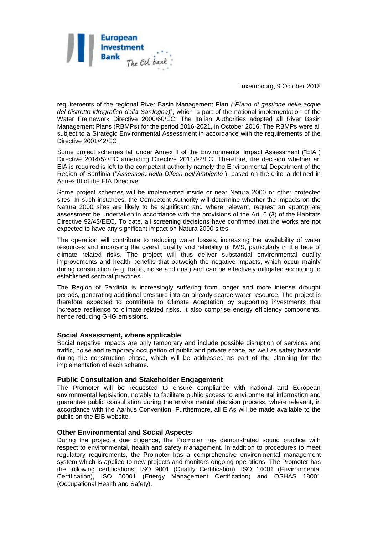

Luxembourg, 9 October 2018

requirements of the regional River Basin Management Plan *("Piano di gestione delle acque del distretto idrografico della Sardegna)*", which is part of the national implementation of the Water Framework Directive 2000/60/EC. The Italian Authorities adopted all River Basin Management Plans (RBMPs) for the period 2016-2021, in October 2016. The RBMPs were all subject to a Strategic Environmental Assessment in accordance with the requirements of the Directive 2001/42/EC.

Some project schemes fall under Annex II of the Environmental Impact Assessment ("EIA") Directive 2014/52/EC amending Directive 2011/92/EC. Therefore, the decision whether an EIA is required is left to the competent authority namely the Environmental Department of the Region of Sardinia ("*Assessore della Difesa dell'Ambiente"*), based on the criteria defined in Annex III of the EIA Directive.

Some project schemes will be implemented inside or near Natura 2000 or other protected sites. In such instances, the Competent Authority will determine whether the impacts on the Natura 2000 sites are likely to be significant and where relevant, request an appropriate assessment be undertaken in accordance with the provisions of the Art. 6 (3) of the Habitats Directive 92/43/EEC. To date, all screening decisions have confirmed that the works are not expected to have any significant impact on Natura 2000 sites.

The operation will contribute to reducing water losses, increasing the availability of water resources and improving the overall quality and reliability of IWS, particularly in the face of climate related risks. The project will thus deliver substantial environmental quality improvements and health benefits that outweigh the negative impacts, which occur mainly during construction (e.g. traffic, noise and dust) and can be effectively mitigated according to established sectoral practices.

The Region of Sardinia is increasingly suffering from longer and more intense drought periods, generating additional pressure into an already scarce water resource. The project is therefore expected to contribute to Climate Adaptation by supporting investments that increase resilience to climate related risks. It also comprise energy efficiency components, hence reducing GHG emissions.

#### **Social Assessment, where applicable**

Social negative impacts are only temporary and include possible disruption of services and traffic, noise and temporary occupation of public and private space, as well as safety hazards during the construction phase, which will be addressed as part of the planning for the implementation of each scheme.

#### **Public Consultation and Stakeholder Engagement**

The Promoter will be requested to ensure compliance with national and European environmental legislation, notably to facilitate public access to environmental information and guarantee public consultation during the environmental decision process, where relevant, in accordance with the Aarhus Convention. Furthermore, all EIAs will be made available to the public on the EIB website.

#### **Other Environmental and Social Aspects**

During the project's due diligence, the Promoter has demonstrated sound practice with respect to environmental, health and safety management. In addition to procedures to meet regulatory requirements, the Promoter has a comprehensive environmental management system which is applied to new projects and monitors ongoing operations. The Promoter has the following certifications: ISO 9001 (Quality Certification), ISO 14001 (Environmental Certification), ISO 50001 (Energy Management Certification) and OSHAS 18001 (Occupational Health and Safety).